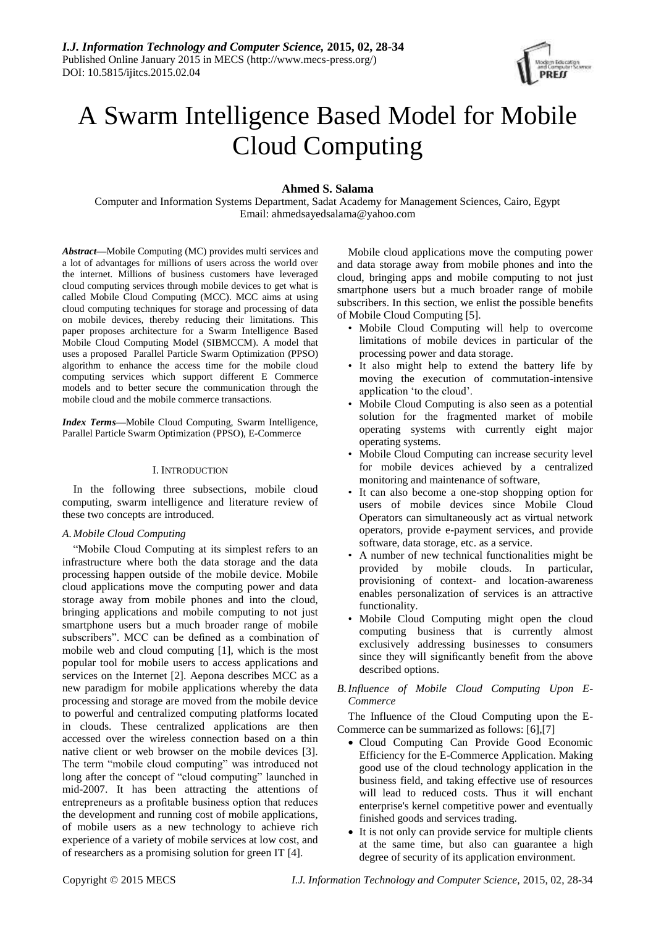

# A Swarm Intelligence Based Model for Mobile Cloud Computing

## **Ahmed S. Salama**

Computer and Information Systems Department, Sadat Academy for Management Sciences, Cairo, Egypt Email: ahmedsayedsalama@yahoo.com

*Abstract***—**Mobile Computing (MC) provides multi services and a lot of advantages for millions of users across the world over the internet. Millions of business customers have leveraged cloud computing services through mobile devices to get what is called Mobile Cloud Computing (MCC). MCC aims at using cloud computing techniques for storage and processing of data on mobile devices, thereby reducing their limitations. This paper proposes architecture for a Swarm Intelligence Based Mobile Cloud Computing Model (SIBMCCM). A model that uses a proposed Parallel Particle Swarm Optimization (PPSO) algorithm to enhance the access time for the mobile cloud computing services which support different E Commerce models and to better secure the communication through the mobile cloud and the mobile commerce transactions.

*Index Terms***—**Mobile Cloud Computing, Swarm Intelligence, Parallel Particle Swarm Optimization (PPSO), E-Commerce

#### I. INTRODUCTION

In the following three subsections, mobile cloud computing, swarm intelligence and literature review of these two concepts are introduced.

## *A.Mobile Cloud Computing*

"Mobile Cloud Computing at its simplest refers to an infrastructure where both the data storage and the data processing happen outside of the mobile device. Mobile cloud applications move the computing power and data storage away from mobile phones and into the cloud, bringing applications and mobile computing to not just smartphone users but a much broader range of mobile subscribers". MCC can be defined as a combination of mobile web and cloud computing [1], which is the most popular tool for mobile users to access applications and services on the Internet [2]. Aepona describes MCC as a new paradigm for mobile applications whereby the data processing and storage are moved from the mobile device to powerful and centralized computing platforms located in clouds. These centralized applications are then accessed over the wireless connection based on a thin native client or web browser on the mobile devices [3]. The term "mobile cloud computing" was introduced not long after the concept of "cloud computing" launched in mid-2007. It has been attracting the attentions of entrepreneurs as a profitable business option that reduces the development and running cost of mobile applications, of mobile users as a new technology to achieve rich experience of a variety of mobile services at low cost, and of researchers as a promising solution for green IT [4].

Mobile cloud applications move the computing power and data storage away from mobile phones and into the cloud, bringing apps and mobile computing to not just smartphone users but a much broader range of mobile subscribers. In this section, we enlist the possible benefits of Mobile Cloud Computing [5].

- Mobile Cloud Computing will help to overcome limitations of mobile devices in particular of the processing power and data storage.
- It also might help to extend the battery life by moving the execution of commutation-intensive application 'to the cloud'.
- Mobile Cloud Computing is also seen as a potential solution for the fragmented market of mobile operating systems with currently eight major operating systems.
- Mobile Cloud Computing can increase security level for mobile devices achieved by a centralized monitoring and maintenance of software,
- It can also become a one-stop shopping option for users of mobile devices since Mobile Cloud Operators can simultaneously act as virtual network operators, provide e-payment services, and provide software, data storage, etc. as a service.
- A number of new technical functionalities might be provided by mobile clouds. In particular, provisioning of context- and location-awareness enables personalization of services is an attractive functionality.
- Mobile Cloud Computing might open the cloud computing business that is currently almost exclusively addressing businesses to consumers since they will significantly benefit from the above described options.

## *B.Influence of Mobile Cloud Computing Upon E-Commerce*

The Influence of the Cloud Computing upon the E-Commerce can be summarized as follows: [6],[7]

- Cloud Computing Can Provide Good Economic Efficiency for the E-Commerce Application. Making good use of the cloud technology application in the business field, and taking effective use of resources will lead to reduced costs. Thus it will enchant enterprise's kernel competitive power and eventually finished goods and services trading.
- It is not only can provide service for multiple clients at the same time, but also can guarantee a high degree of security of its application environment.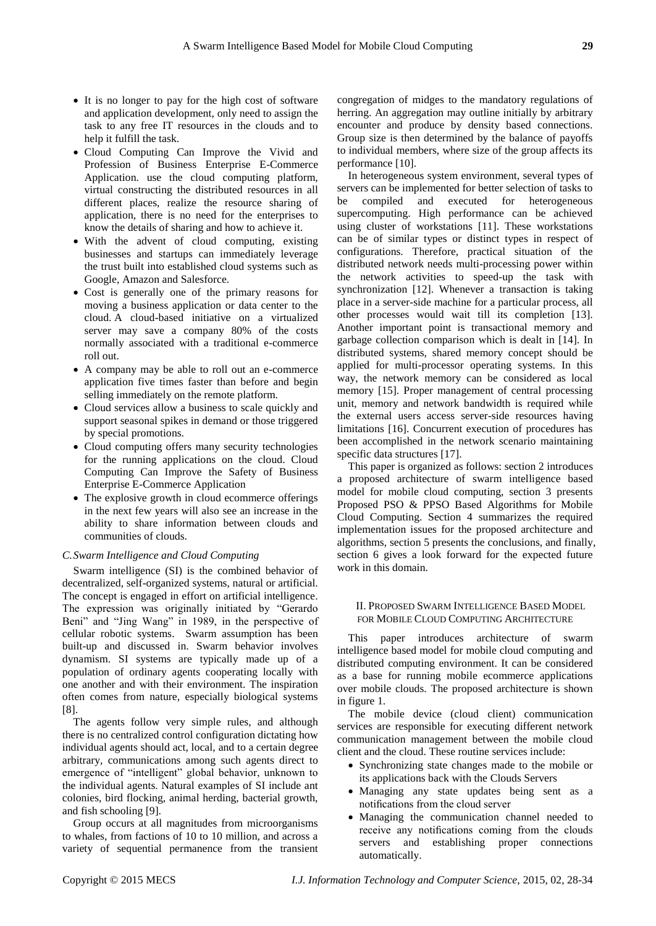- It is no longer to pay for the high cost of software and application development, only need to assign the task to any free IT resources in the clouds and to help it fulfill the task.
- Cloud Computing Can Improve the Vivid and Profession of Business Enterprise E-Commerce Application. use the cloud computing platform, virtual constructing the distributed resources in all different places, realize the resource sharing of application, there is no need for the enterprises to know the details of sharing and how to achieve it.
- With the advent of cloud computing, existing businesses and startups can immediately leverage the trust built into established cloud systems such as Google, Amazon and Salesforce.
- Cost is generally one of the primary reasons for moving a business application or data center to the cloud. A cloud-based initiative on a virtualized server may save a company 80% of the costs normally associated with a traditional e-commerce roll out.
- A company may be able to roll out an e-commerce application five times faster than before and begin selling immediately on the remote platform.
- Cloud services allow a business to scale quickly and support seasonal spikes in demand or those triggered by special promotions.
- Cloud computing offers many security technologies for the running applications on the cloud. Cloud Computing Can Improve the Safety of Business Enterprise E-Commerce Application
- The explosive growth in cloud ecommerce offerings in the next few years will also see an increase in the ability to share information between clouds and communities of clouds.

## *C.Swarm Intelligence and Cloud Computing*

Swarm intelligence (SI) is the combined behavior of decentralized, self-organized systems, natural or artificial. The concept is engaged in effort on artificial intelligence. The expression was originally initiated by "Gerardo Beni" and "Jing Wang" in 1989, in the perspective of cellular robotic systems. Swarm assumption has been built-up and discussed in. Swarm behavior involves dynamism. SI systems are typically made up of a population of ordinary agents cooperating locally with one another and with their environment. The inspiration often comes from nature, especially biological systems [8].

The agents follow very simple rules, and although there is no centralized control configuration dictating how individual agents should act, local, and to a certain degree arbitrary, communications among such agents direct to emergence of "intelligent" global behavior, unknown to the individual agents. Natural examples of SI include ant colonies, bird flocking, animal herding, bacterial growth, and fish schooling [9].

Group occurs at all magnitudes from microorganisms to whales, from factions of 10 to 10 million, and across a variety of sequential permanence from the transient congregation of midges to the mandatory regulations of herring. An aggregation may outline initially by arbitrary encounter and produce by density based connections. Group size is then determined by the balance of payoffs to individual members, where size of the group affects its performance [10].

In heterogeneous system environment, several types of servers can be implemented for better selection of tasks to be compiled and executed for heterogeneous supercomputing. High performance can be achieved using cluster of workstations [11]. These workstations can be of similar types or distinct types in respect of configurations. Therefore, practical situation of the distributed network needs multi-processing power within the network activities to speed-up the task with synchronization [12]. Whenever a transaction is taking place in a server-side machine for a particular process, all other processes would wait till its completion [13]. Another important point is transactional memory and garbage collection comparison which is dealt in [14]. In distributed systems, shared memory concept should be applied for multi-processor operating systems. In this way, the network memory can be considered as local memory [15]. Proper management of central processing unit, memory and network bandwidth is required while the external users access server-side resources having limitations [16]. Concurrent execution of procedures has been accomplished in the network scenario maintaining specific data structures [17].

This paper is organized as follows: section 2 introduces a proposed architecture of swarm intelligence based model for mobile cloud computing, section 3 presents Proposed PSO & PPSO Based Algorithms for Mobile Cloud Computing. Section 4 summarizes the required implementation issues for the proposed architecture and algorithms, section 5 presents the conclusions, and finally, section 6 gives a look forward for the expected future work in this domain.

#### II. PROPOSED SWARM INTELLIGENCE BASED MODEL FOR MOBILE CLOUD COMPUTING ARCHITECTURE

This paper introduces architecture of swarm intelligence based model for mobile cloud computing and distributed computing environment. It can be considered as a base for running mobile ecommerce applications over mobile clouds. The proposed architecture is shown in figure 1.

The mobile device (cloud client) communication services are responsible for executing different network communication management between the mobile cloud client and the cloud. These routine services include:

- Synchronizing state changes made to the mobile or its applications back with the Clouds Servers
- Managing any state updates being sent as a notifications from the cloud server
- Managing the communication channel needed to receive any notifications coming from the clouds servers and establishing proper connections automatically.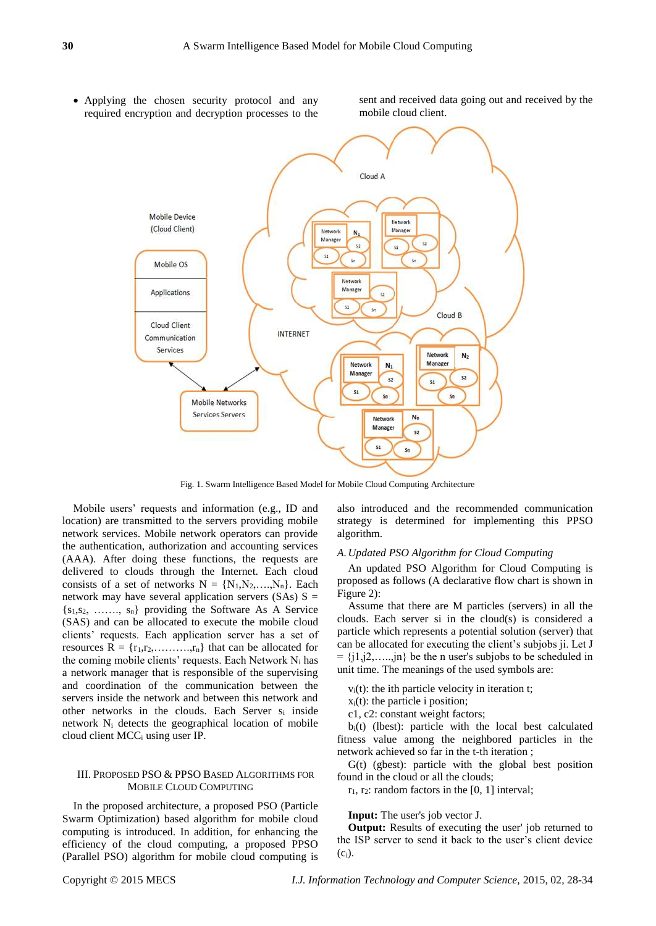Applying the chosen security protocol and any required encryption and decryption processes to the sent and received data going out and received by the mobile cloud client.



Fig. 1. Swarm Intelligence Based Model for Mobile Cloud Computing Architecture

Mobile users' requests and information (e.g., ID and location) are transmitted to the servers providing mobile network services. Mobile network operators can provide the authentication, authorization and accounting services (AAA). After doing these functions, the requests are delivered to clouds through the Internet. Each cloud consists of a set of networks  $N = \{N_1, N_2, \ldots, N_n\}$ . Each network may have several application servers  $(SAs) S =$  ${s_1, s_2, \ldots, s_n}$  providing the Software As A Service (SAS) and can be allocated to execute the mobile cloud clients' requests. Each application server has a set of resources  $R = \{r_1, r_2, \ldots, r_n\}$  that can be allocated for the coming mobile clients' requests. Each Network  $N_i$  has a network manager that is responsible of the supervising and coordination of the communication between the servers inside the network and between this network and other networks in the clouds. Each Server s<sup>i</sup> inside network N<sup>i</sup> detects the geographical location of mobile cloud client MCC<sup>i</sup> using user IP.

## III. PROPOSED PSO & PPSO BASED ALGORITHMS FOR MOBILE CLOUD COMPUTING

In the proposed architecture, a proposed PSO (Particle Swarm Optimization) based algorithm for mobile cloud computing is introduced. In addition, for enhancing the efficiency of the cloud computing, a proposed PPSO (Parallel PSO) algorithm for mobile cloud computing is also introduced and the recommended communication strategy is determined for implementing this PPSO algorithm.

#### *A.Updated PSO Algorithm for Cloud Computing*

An updated PSO Algorithm for Cloud Computing is proposed as follows (A declarative flow chart is shown in Figure 2):

Assume that there are M particles (servers) in all the clouds. Each server si in the cloud(s) is considered a particle which represents a potential solution (server) that can be allocated for executing the client's subjobs ji. Let J  $= \{j_1, j_2, \ldots, j_n\}$  be the n user's subjobs to be scheduled in unit time. The meanings of the used symbols are:

 $v_i(t)$ : the ith particle velocity in iteration t;

 $x_i(t)$ : the particle i position;

c1, c2: constant weight factors;

bi(t) (lbest): particle with the local best calculated fitness value among the neighbored particles in the network achieved so far in the t-th iteration ;

G(t) (gbest): particle with the global best position found in the cloud or all the clouds;

 $r_1$ ,  $r_2$ : random factors in the [0, 1] interval;

**Input:** The user's job vector J.

**Output:** Results of executing the user' job returned to the ISP server to send it back to the user's client device  $(c_i)$ .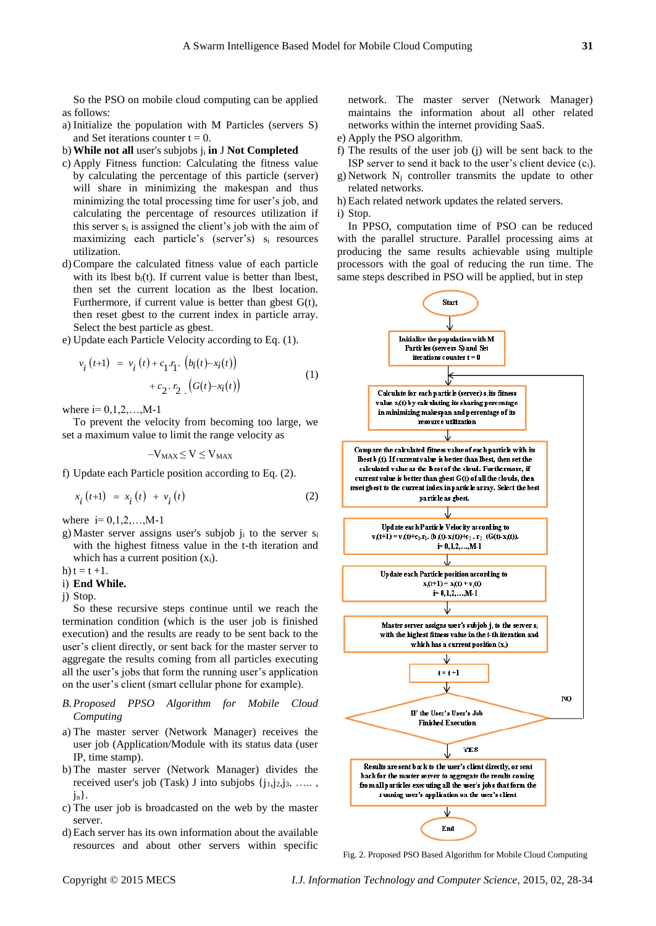So the PSO on mobile cloud computing can be applied as follows:

- a) Initialize the population with M Particles (servers S) and Set iterations counter  $t = 0$ .
- b)**While not all** user's subjobs j<sup>i</sup> **in** J **Not Completed**
- c) Apply Fitness function: Calculating the fitness value by calculating the percentage of this particle (server) will share in minimizing the makespan and thus minimizing the total processing time for user's job, and calculating the percentage of resources utilization if this server  $s_i$  is assigned the client's job with the aim of maximizing each particle's (server's) si resources utilization.
- d)Compare the calculated fitness value of each particle with its lbest  $b_i(t)$ . If current value is better than lbest, then set the current location as the lbest location. Furthermore, if current value is better than gbest  $G(t)$ , then reset gbest to the current index in particle array. Select the best particle as gbest.
- e) Update each Particle Velocity according to Eq. (1).

$$
v_i(t+1) = v_i(t) + c_1 \cdot r_1 \cdot (b_i(t) - x_i(t)) + c_2 \cdot r_2 \cdot (G(t) - x_i(t))
$$
\n(1)

where  $i= 0, 1, 2, \ldots, M-1$ 

To prevent the velocity from becoming too large, we set a maximum value to limit the range velocity as

$$
-V_{MAX}\!\leq V\!\leq V_{MAX}
$$

f) Update each Particle position according to Eq. (2).

$$
x_{i}(t+1) = x_{i}(t) + v_{i}(t)
$$
 (2)

where  $i= 0, 1, 2, ..., M-1$ 

- g) Master server assigns user's subjob j<sup>i</sup> to the server s<sup>i</sup> with the highest fitness value in the t-th iteration and which has a current position  $(x_i)$ .
- h)  $t = t + 1$ .

## i) **End While.**

j) Stop.

So these recursive steps continue until we reach the termination condition (which is the user job is finished execution) and the results are ready to be sent back to the user's client directly, or sent back for the master server to aggregate the results coming from all particles executing all the user's jobs that form the running user's application on the user's client (smart cellular phone for example).

- *B.Proposed PPSO Algorithm for Mobile Cloud Computing*
- a) The master server (Network Manager) receives the user job (Application/Module with its status data (user IP, time stamp).
- b) The master server (Network Manager) divides the received user's job (Task) J into subjobs  $\{j_1, j_2, j_3, \ldots, j_n\}$  $i_n$ .
- c) The user job is broadcasted on the web by the master server.
- d) Each server has its own information about the available resources and about other servers within specific

network. The master server (Network Manager) maintains the information about all other related networks within the internet providing SaaS.

- e) Apply the PSO algorithm.
- f) The results of the user job (j) will be sent back to the ISP server to send it back to the user's client device  $(c_i)$ .
- g) Network N<sup>j</sup> controller transmits the update to other related networks.
- h) Each related network updates the related servers. i) Stop.

In PPSO, computation time of PSO can be reduced with the parallel structure. Parallel processing aims at producing the same results achievable using multiple processors with the goal of reducing the run time. The same steps described in PSO will be applied, but in step



Fig. 2. Proposed PSO Based Algorithm for Mobile Cloud Computing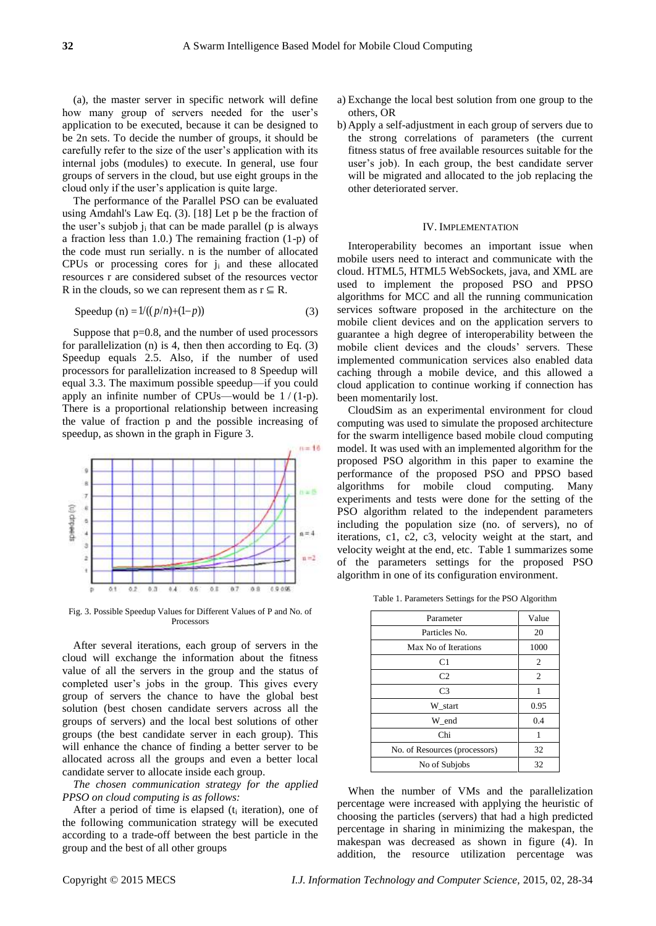(a), the master server in specific network will define how many group of servers needed for the user's application to be executed, because it can be designed to be 2n sets. To decide the number of groups, it should be carefully refer to the size of the user's application with its internal jobs (modules) to execute. In general, use four groups of servers in the cloud, but use eight groups in the cloud only if the user's application is quite large.

The performance of the Parallel PSO can be evaluated using Amdahl's Law Eq. (3). [18] Let p be the fraction of the user's subjob  $j_i$  that can be made parallel (p is always a fraction less than 1.0.) The remaining fraction (1-p) of the code must run serially. n is the number of allocated CPUs or processing cores for j<sup>i</sup> and these allocated resources r are considered subset of the resources vector R in the clouds, so we can represent them as  $r \subseteq R$ .

$$
Speedup (n) = 1/((p/n)+(1-p))
$$
 (3)

Suppose that p=0.8, and the number of used processors for parallelization (n) is 4, then then according to Eq.  $(3)$ Speedup equals 2.5. Also, if the number of used processors for parallelization increased to 8 Speedup will equal 3.3. The maximum possible speedup—if you could apply an infinite number of CPUs—would be  $1/(1-p)$ . There is a proportional relationship between increasing the value of fraction p and the possible increasing of speedup, as shown in the graph in [Figure 3](http://techpubs.sgi.com/library/dynaweb_docs/0650/SGI_Developer/books/OrOn2_PfTune/sgi_html/ch08.html#id5221037).



Fig. 3. Possible Speedup Values for Different Values of P and No. of Processors

After several iterations, each group of servers in the cloud will exchange the information about the fitness value of all the servers in the group and the status of completed user's jobs in the group. This gives every group of servers the chance to have the global best solution (best chosen candidate servers across all the groups of servers) and the local best solutions of other groups (the best candidate server in each group). This will enhance the chance of finding a better server to be allocated across all the groups and even a better local candidate server to allocate inside each group.

*The chosen communication strategy for the applied PPSO on cloud computing is as follows:*

After a period of time is elapsed  $(t<sub>i</sub>$  iteration), one of the following communication strategy will be executed according to a trade-off between the best particle in the group and the best of all other groups

- a) Exchange the local best solution from one group to the others, OR
- b) Apply a self-adjustment in each group of servers due to the strong correlations of parameters (the current fitness status of free available resources suitable for the user's job). In each group, the best candidate server will be migrated and allocated to the job replacing the other deteriorated server.

#### IV. IMPLEMENTATION

Interoperability becomes an important issue when mobile users need to interact and communicate with the cloud. HTML5, HTML5 WebSockets, java, and XML are used to implement the proposed PSO and PPSO algorithms for MCC and all the running communication services software proposed in the architecture on the mobile client devices and on the application servers to guarantee a high degree of interoperability between the mobile client devices and the clouds' servers. These implemented communication services also enabled data caching through a mobile device, and this allowed a cloud application to continue working if connection has been momentarily lost.

CloudSim as an experimental environment for cloud computing was used to simulate the proposed architecture for the swarm intelligence based mobile cloud computing model. It was used with an implemented algorithm for the proposed PSO algorithm in this paper to examine the performance of the proposed PSO and PPSO based algorithms for mobile cloud computing. Many experiments and tests were done for the setting of the PSO algorithm related to the independent parameters including the population size (no. of servers), no of iterations, c1, c2, c3, velocity weight at the start, and velocity weight at the end, etc. Table 1 summarizes some of the parameters settings for the proposed PSO algorithm in one of its configuration environment.

Table 1. Parameters Settings for the PSO Algorithm

| Parameter                     | Value          |
|-------------------------------|----------------|
| Particles No.                 | 20             |
| Max No of Iterations          | 1000           |
| C <sub>1</sub>                | $\overline{2}$ |
| C <sub>2</sub>                | $\overline{2}$ |
| C <sub>3</sub>                |                |
| W start                       | 0.95           |
| W end                         | 0.4            |
| Chi                           | 1              |
| No. of Resources (processors) | 32             |
| No of Subjobs                 | 32             |

When the number of VMs and the parallelization percentage were increased with applying the heuristic of choosing the particles (servers) that had a high predicted percentage in sharing in minimizing the makespan, the makespan was decreased as shown in figure (4). In addition, the resource utilization percentage was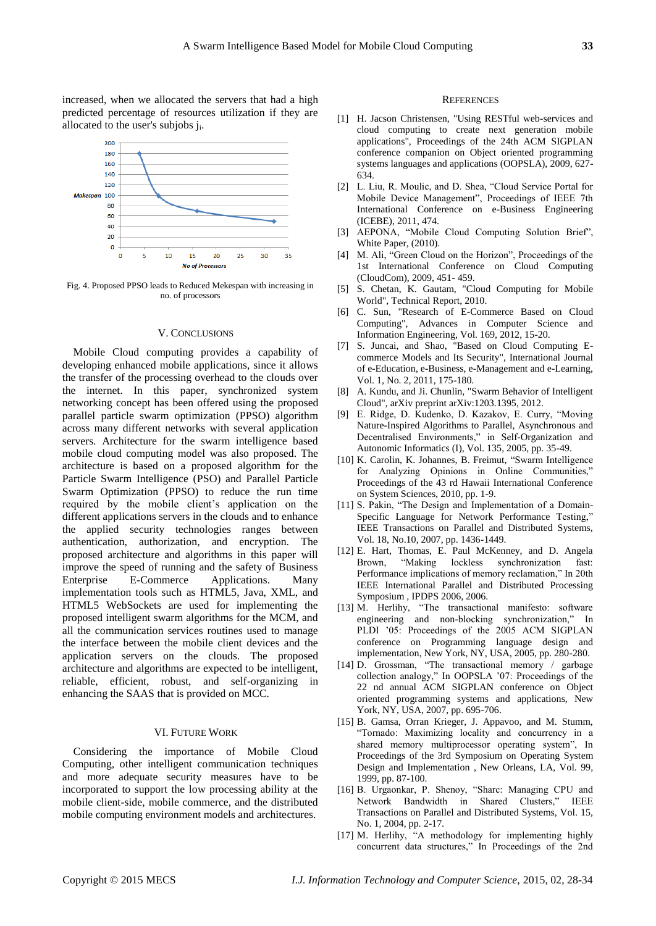increased, when we allocated the servers that had a high predicted percentage of resources utilization if they are allocated to the user's subjobs ji.



Fig. 4. Proposed PPSO leads to Reduced Mekespan with increasing in no. of processors

#### V. CONCLUSIONS

Mobile Cloud computing provides a capability of developing enhanced mobile applications, since it allows the transfer of the processing overhead to the clouds over the internet. In this paper, synchronized system networking concept has been offered using the proposed parallel particle swarm optimization (PPSO) algorithm across many different networks with several application servers. Architecture for the swarm intelligence based mobile cloud computing model was also proposed. The architecture is based on a proposed algorithm for the Particle Swarm Intelligence (PSO) and Parallel Particle Swarm Optimization (PPSO) to reduce the run time required by the mobile client's application on the different applications servers in the clouds and to enhance the applied security technologies ranges between authentication, authorization, and encryption. The proposed architecture and algorithms in this paper will improve the speed of running and the safety of Business Enterprise E-Commerce Applications. Many implementation tools such as HTML5, Java, XML, and HTML5 WebSockets are used for implementing the proposed intelligent swarm algorithms for the MCM, and all the communication services routines used to manage the interface between the mobile client devices and the application servers on the clouds. The proposed architecture and algorithms are expected to be intelligent, reliable, efficient, robust, and self-organizing in enhancing the SAAS that is provided on MCC.

## VI. FUTURE WORK

Considering the importance of Mobile Cloud Computing, other intelligent communication techniques and more adequate security measures have to be incorporated to support the low processing ability at the mobile client-side, mobile commerce, and the distributed mobile computing environment models and architectures.

#### **REFERENCES**

- [1] H. Jacson Christensen, "Using RESTful web-services and cloud computing to create next generation mobile applications", Proceedings of the 24th ACM SIGPLAN conference companion on Object oriented programming systems languages and applications (OOPSLA), 2009, 627- 634.
- [2] L. Liu, R. Moulic, and D. Shea, "Cloud Service Portal for Mobile Device Management", Proceedings of IEEE 7th International Conference on e-Business Engineering (ICEBE), 2011, 474.
- [3] AEPONA, "Mobile Cloud Computing Solution Brief", White Paper, (2010).
- [4] M. Ali, "Green Cloud on the Horizon", Proceedings of the 1st International Conference on Cloud Computing (CloudCom), 2009, 451- 459.
- [5] S. Chetan, K. Gautam, "Cloud Computing for Mobile World", Technical Report, 2010.
- [6] C. Sun, "Research of E-Commerce Based on Cloud Computing", [Advances in Computer Science and](http://link.springer.com/book/10.1007/978-3-642-30223-7)  [Information Engineering,](http://link.springer.com/book/10.1007/978-3-642-30223-7) Vol. 169, 2012, 15-20.
- [7] S. Juncai, and Shao, "Based on Cloud Computing Ecommerce Models and Its Security", International Journal of e-Education, e-Business, e-Management and e-Learning, Vol. 1, No. 2, 2011, 175-180.
- [8] A. Kundu, and Ji. Chunlin, "Swarm Behavior of Intelligent Cloud", arXiv preprint arXiv:1203.1395, 2012.
- [9] E. Ridge, D. Kudenko, D. Kazakov, E. Curry, "Moving Nature-Inspired Algorithms to Parallel, Asynchronous and Decentralised Environments," in Self-Organization and Autonomic Informatics (I), Vol. 135, 2005, pp. 35-49.
- [10] K. Carolin, K. Johannes, B. Freimut, "Swarm Intelligence for Analyzing Opinions in Online Communities," Proceedings of the 43 rd Hawaii International Conference on System Sciences, 2010, pp. 1-9.
- [11] S. Pakin, "The Design and Implementation of a Domain-Specific Language for Network Performance Testing," IEEE Transactions on Parallel and Distributed Systems, Vol. 18, No.10, 2007, pp. 1436-1449.
- [12] E. Hart, Thomas, E. Paul McKenney, and D. Angela Brown, "Making lockless synchronization fast: Performance implications of memory reclamation," In 20th IEEE International Parallel and Distributed Processing Symposium , IPDPS 2006, 2006.
- [13] M. Herlihy, "The transactional manifesto: software engineering and non-blocking synchronization," In PLDI '05: Proceedings of the 2005 ACM SIGPLAN conference on Programming language design and implementation, New York, NY, USA, 2005, pp. 280-280.
- [14] D. Grossman, "The transactional memory / garbage collection analogy," In OOPSLA '07: Proceedings of the 22 nd annual ACM SIGPLAN conference on Object oriented programming systems and applications, New York, NY, USA, 2007, pp. 695-706.
- [15] B. Gamsa, Orran Krieger, J. Appavoo, and M. Stumm, "Tornado: Maximizing locality and concurrency in a shared memory multiprocessor operating system", In Proceedings of the 3rd Symposium on Operating System Design and Implementation , New Orleans, LA, Vol. 99, 1999, pp. 87-100.
- [16] B. Urgaonkar, P. Shenoy, "Sharc: Managing CPU and Network Bandwidth in Shared Clusters," IEEE Transactions on Parallel and Distributed Systems, Vol. 15, No. 1, 2004, pp. 2-17.
- [17] M. Herlihy, "A methodology for implementing highly concurrent data structures," In Proceedings of the 2nd